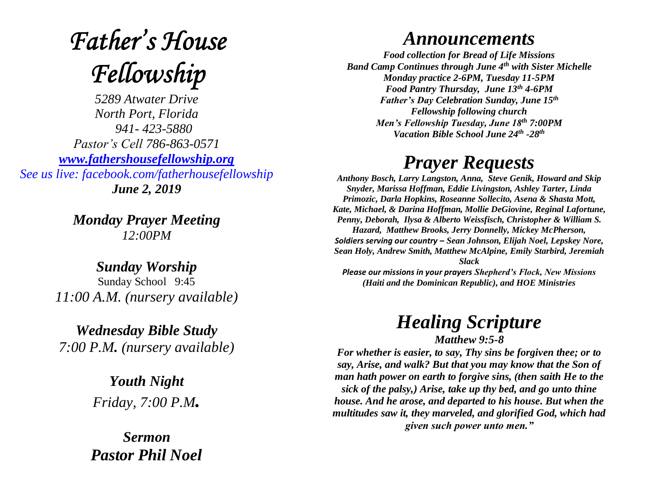# **Father's House** Fellowship

*5289 Atwater Drive North Port, Florida 941- 423-5880 Pastor's Cell 786-863-0571 [www.fathershousefellowship.org](http://www.fathershousefellowship.org/) See us live: facebook.com/fatherhousefellowship June 2, 2019*

> *Monday Prayer Meeting 12:00PM*

*Sunday Worship* Sunday School 9:45 *11:00 A.M. (nursery available)*

*Wednesday Bible Study 7:00 P.M. (nursery available)*

> *Youth Night Friday, 7:00 P.M.*

*Sermon Pastor Phil Noel*

### *Announcements*

*Food collection for Bread of Life Missions Band Camp Continues through June 4th with Sister Michelle Monday practice 2-6PM, Tuesday 11-5PM Food Pantry Thursday, June 13th 4-6PM Father's Day Celebration Sunday, June 15th Fellowship following church Men's Fellowship Tuesday, June 18th 7:00PM Vacation Bible School June 24th -28th*

## *Prayer Requests*

*Anthony Bosch, Larry Langston, Anna, Steve Genik, Howard and Skip Snyder, Marissa Hoffman, Eddie Livingston, Ashley Tarter, Linda Primozic, Darla Hopkins, Roseanne Sollecito, Asena & Shasta Mott, Kate, Michael, & Darina Hoffman, Mollie DeGiovine, Reginal Lafortune, Penny, Deborah, Ilysa & Alberto Weissfisch, Christopher & William S. Hazard, Matthew Brooks, Jerry Donnelly, Mickey McPherson, Soldiers serving our country – Sean Johnson, Elijah Noel, Lepskey Nore, Sean Holy, Andrew Smith, Matthew McAlpine, Emily Starbird, Jeremiah Slack*

*Please our missions in your prayers Shepherd's Flock, New Missions (Haiti and the Dominican Republic), and HOE Ministries*

# *Healing Scripture*

*Matthew 9:5-8*

*For whether is easier, to say, Thy sins be forgiven thee; or to say, Arise, and walk? But that you may know that the Son of man hath power on earth to forgive sins, (then saith He to the sick of the palsy,) Arise, take up thy bed, and go unto thine house. And he arose, and departed to his house. But when the multitudes saw it, they marveled, and glorified God, which had given such power unto men."*